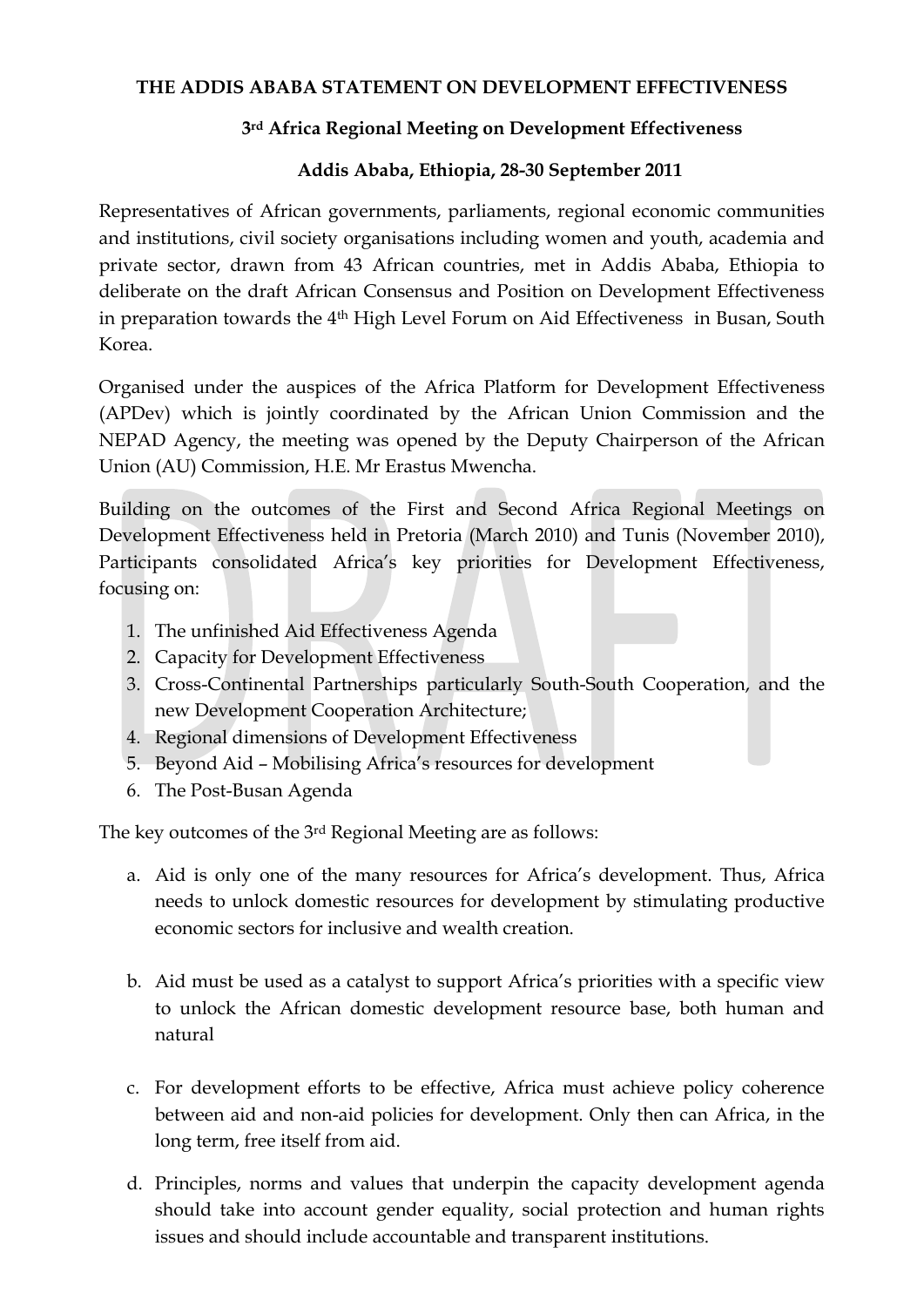## **THE ADDIS ABABA STATEMENT ON DEVELOPMENT EFFECTIVENESS**

## **3rd Africa Regional Meeting on Development Effectiveness**

## **Addis Ababa, Ethiopia, 28-30 September 2011**

Representatives of African governments, parliaments, regional economic communities and institutions, civil society organisations including women and youth, academia and private sector, drawn from 43 African countries, met in Addis Ababa, Ethiopia to deliberate on the draft African Consensus and Position on Development Effectiveness in preparation towards the 4<sup>th</sup> High Level Forum on Aid Effectiveness in Busan, South Korea.

Organised under the auspices of the Africa Platform for Development Effectiveness (APDev) which is jointly coordinated by the African Union Commission and the NEPAD Agency, the meeting was opened by the Deputy Chairperson of the African Union (AU) Commission, H.E. Mr Erastus Mwencha.

Building on the outcomes of the First and Second Africa Regional Meetings on Development Effectiveness held in Pretoria (March 2010) and Tunis (November 2010), Participants consolidated Africa's key priorities for Development Effectiveness, focusing on:

- 1. The unfinished Aid Effectiveness Agenda
- 2. Capacity for Development Effectiveness
- 3. Cross-Continental Partnerships particularly South-South Cooperation, and the new Development Cooperation Architecture;
- 4. Regional dimensions of Development Effectiveness
- 5. Beyond Aid Mobilising Africa's resources for development
- 6. The Post-Busan Agenda

The key outcomes of the 3rd Regional Meeting are as follows:

- a. Aid is only one of the many resources for Africa's development. Thus, Africa needs to unlock domestic resources for development by stimulating productive economic sectors for inclusive and wealth creation.
- b. Aid must be used as a catalyst to support Africa's priorities with a specific view to unlock the African domestic development resource base, both human and natural
- c. For development efforts to be effective, Africa must achieve policy coherence between aid and non-aid policies for development. Only then can Africa, in the long term, free itself from aid.
- d. Principles, norms and values that underpin the capacity development agenda should take into account gender equality, social protection and human rights issues and should include accountable and transparent institutions.